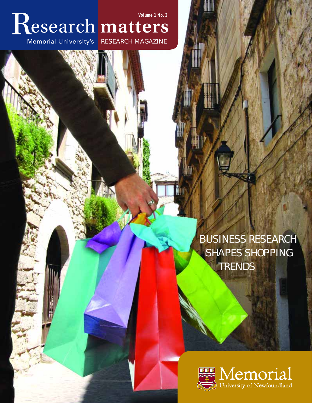### esearch **matters Research matters** Memorial University's RESEARCH MAGAZINE

BUSINESS RESEARCH SHAPES SHOPPING TRENDS

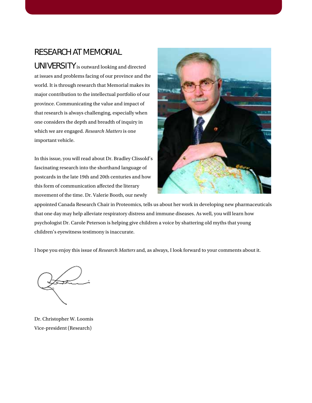### RESEARCH AT MEMORIAL

UNIVERSITY is outward looking and directed at issues and problems facing of our province and the world. It is through research that Memorial makes its major contribution to the intellectual portfolio of our province. Communicating the value and impact of that research is always challenging, especially when one considers the depth and breadth of inquiry in which we are engaged. *Research Matters* is one important vehicle.

In this issue, you will read about Dr. Bradley Clissold's fascinating research into the shorthand language of postcards in the late 19th and 20th centuries and how this form of communication affected the literary movement of the time. Dr. Valerie Booth, our newly



appointed Canada Research Chair in Proteomics, tells us about her work in developing new pharmaceuticals that one day may help alleviate respiratory distress and immune diseases. As well, you will learn how psychologist Dr. Carole Peterson is helping give children a voice by shattering old myths that young children's eyewitness testimony is inaccurate.

I hope you enjoy this issue of *Research Matters* and, as always, I look forward to your comments about it.

Dr. Christopher W. Loomis Vice-president (Research)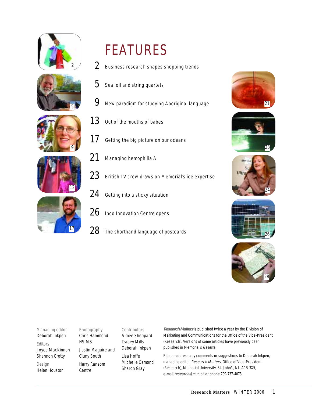









# FEATURES

- Business research shapes shopping trends  $\overline{\mathcal{L}}$
- Seal oil and string quartets 5
- New paradigm for studying Aboriginal language 9
- Out of the mouths of babes 13
- Getting the big picture on our oceans 17
- Managing hemophilia A 21
- British TV crew draws on Memorial's ice expertise 23
- Getting into a sticky situation 24
- Inco Innovation Centre opens 26
- The shorthand language of postcards 28











| Managing editor |  |
|-----------------|--|
| Deborah Inkpen  |  |

Editors Joyce MacKinnon Shannon Crotty

Design Helen Houston Photography Chris Hammond HSIMS Justin Maguire and Cluny South

Harry Ransom **Centre** 

#### **Contributors**

Aimee Sheppard Tracey Mills Deborah Inkpen Lisa Hoffe Michelle Osmond Sharon Gray

**Research Matters** is published twice a year by the Division of Marketing and Communications for the Office of the Vice-President (Research). Versions of some articles have previously been published in Memorial's Gazette.

Please address any comments or suggestions to Deborah Inkpen, managing editor, Research Matters, Office of Vice-President (Research), Memorial University, St. John's, NL, A1B 3X5, e-mail research@mun.ca or phone 709-737-4073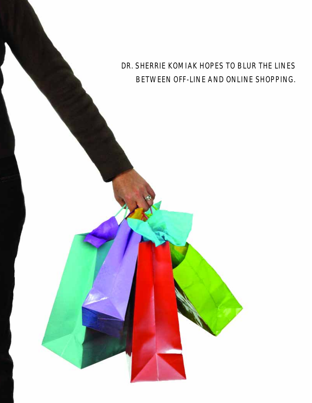DR. SHERRIE KOMIAK HOPES TO BLUR THE LINES BETWEEN OFF-LINE AND ONLINE SHOPPING.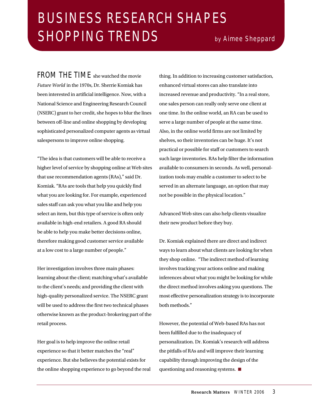## BUSINESS RESEARCH SHAPES SHOPPING TRENDS

#### by Aimee Sheppard

FROM THE TIME she watched the movie *Future World* in the 1970s, Dr. Sherrie Komiak has been interested in artificial intelligence. Now, with a National Science and Engineering Research Council (NSERC) grant to her credit, she hopes to blur the lines between off-line and online shopping by developing sophisticated personalized computer agents as virtual salespersons to improve online shopping.

"The idea is that customers will be able to receive a higher level of service by shopping online at Web sites that use recommendation agents (RAs)," said Dr. Komiak. "RAs are tools that help you quickly find what you are looking for. For example, experienced sales staff can ask you what you like and help you select an item, but this type of service is often only available in high-end retailers. A good RA should be able to help you make better decisions online, therefore making good customer service available at a low cost to a large number of people."

Her investigation involves three main phases: learning about the client; matching what's available to the client's needs; and providing the client with high-quality personalized service. The NSERC grant will be used to address the first two technical phases otherwise known as the product-brokering part of the retail process.

Her goal is to help improve the online retail experience so that it better matches the "real" experience. But she believes the potential exists for the online shopping experience to go beyond the real thing. In addition to increasing customer satisfaction, enhanced virtual stores can also translate into increased revenue and productivity. "In a real store, one sales person can really only serve one client at one time. In the online world, an RA can be used to serve a large number of people at the same time. Also, in the online world firms are not limited by shelves, so their inventories can be huge. It's not practical or possible for staff or customers to search such large inventories. RAs help filter the information available to consumers in seconds. As well, personalization tools may enable a customer to select to be served in an alternate language, an option that may not be possible in the physical location."

Advanced Web sites can also help clients visualize their new product before they buy.

Dr. Komiak explained there are direct and indirect ways to learn about what clients are looking for when they shop online. "The indirect method of learning involves tracking your actions online and making inferences about what you might be looking for while the direct method involves asking you questions. The most effective personalization strategy is to incorporate both methods."

However, the potential of Web-based RAs has not been fulfilled due to the inadequacy of personalization. Dr. Komiak's research will address the pitfalls of RAs and will improve their learning capability through improving the design of the questioning and reasoning systems. ■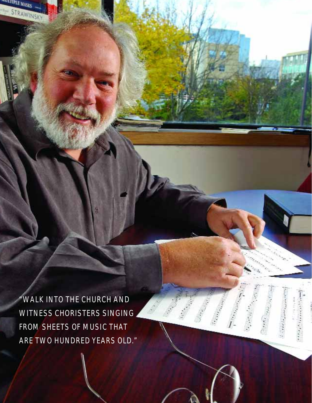"WALK INTO THE CHURCH AND WITNESS CHORISTERS SINGING FROM SHEETS OF MUSIC THAT ARE TWO HUNDRED YEARS OLD."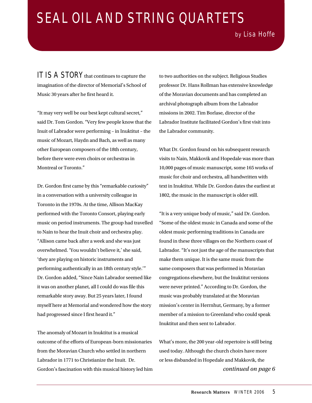## SEAL OIL AND STRING QUARTETS

#### by Lisa Hoffe

IT IS A STORY that continues to capture the imagination of the director of Memorial's School of Music 30 years after he first heard it.

"It may very well be our best kept cultural secret," said Dr. Tom Gordon. "Very few people know that the Inuit of Labrador were performing – in Inuktitut – the music of Mozart, Haydn and Bach, as well as many other European composers of the 18th century, before there were even choirs or orchestras in Montreal or Toronto."

Dr. Gordon first came by this "remarkable curiosity" in a conversation with a university colleague in Toronto in the 1970s. At the time, Allison MacKay performed with the Toronto Consort, playing early music on period instruments. The group had travelled to Nain to hear the Inuit choir and orchestra play. "Allison came back after a week and she was just overwhelmed. 'You wouldn't believe it,' she said, 'they are playing on historic instruments and performing authentically in an 18th century style.'" Dr. Gordon added, "Since Nain Labrador seemed like it was on another planet, all I could do was file this remarkable story away. But 25 years later, I found myself here at Memorial and wondered how the story had progressed since I first heard it."

The anomaly of Mozart in Inuktitut is a musical outcome of the efforts of European-born missionaries from the Moravian Church who settled in northern Labrador in 1771 to Christianize the Inuit. Dr. Gordon's fascination with this musical history led him to two authorities on the subject. Religious Studies professor Dr. Hans Rollman has extensive knowledge of the Moravian documents and has completed an archival photograph album from the Labrador missions in 2002. Tim Borlase, director of the Labrador Institute facilitated Gordon's first visit into the Labrador community.

What Dr. Gordon found on his subsequent research visits to Nain, Makkovik and Hopedale was more than 10,000 pages of music manuscript, some 165 works of music for choir and orchestra, all handwritten with text in Inuktitut. While Dr. Gordon dates the earliest at 1802, the music in the manuscript is older still.

"It is a very unique body of music," said Dr. Gordon. "Some of the oldest music in Canada and some of the oldest music performing traditions in Canada are found in these three villages on the Northern coast of Labrador. "It's not just the age of the manuscripts that make them unique. It is the same music from the same composers that was performed in Moravian congregations elsewhere, but the Inuktitut versions were never printed." According to Dr. Gordon, the music was probably translated at the Moravian mission's center in Herrnhut, Germany, by a former member of a mission to Greenland who could speak Inuktitut and then sent to Labrador.

What's more, the 200 year-old repertoire is still being used today. Although the church choirs have more or less disbanded in Hopedale and Makkovik, the *continued on page 6*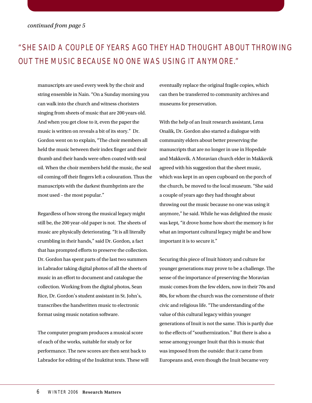### "SHE SAID A COUPLE OF YEARS AGO THEY HAD THOUGHT ABOUT THROWING OUT THE MUSIC BECAUSE NO ONE WAS USING IT ANYMORE."

manuscripts are used every week by the choir and string ensemble in Nain. "On a Sunday morning you can walk into the church and witness choristers singing from sheets of music that are 200 years old. And when you get close to it, even the paper the music is written on reveals a bit of its story." Dr. Gordon went on to explain, "The choir members all held the music between their index finger and their thumb and their hands were often coated with seal oil. When the choir members held the music, the seal oil coming off their fingers left a colouration. Thus the manuscripts with the darkest thumbprints are the most used – the most popular."

Regardless of how strong the musical legacy might still be, the 200 year-old paper is not. The sheets of music are physically deteriorating. "It is all literally crumbling in their hands," said Dr. Gordon, a fact that has prompted efforts to preserve the collection. Dr. Gordon has spent parts of the last two summers in Labrador taking digital photos of all the sheets of music in an effort to document and catalogue the collection. Working from the digital photos, Sean Rice, Dr. Gordon's student assistant in St. John's, transcribes the handwritten music to electronic format using music notation software.

The computer program produces a musical score of each of the works, suitable for study or for performance. The new scores are then sent back to Labrador for editing of the Inuktitut texts. These will eventually replace the original fragile copies, which can then be transferred to community archives and museums for preservation.

With the help of an Inuit research assistant, Lena Onalik, Dr. Gordon also started a dialogue with community elders about better preserving the manuscripts that are no longer in use in Hopedale and Makkovik. A Moravian church elder in Makkovik agreed with his suggestion that the sheet music, which was kept in an open cupboard on the porch of the church, be moved to the local museum. "She said a couple of years ago they had thought about throwing out the music because no one was using it anymore," he said. While he was delighted the music was kept, "it drove home how short the memory is for what an important cultural legacy might be and how important it is to secure it."

Securing this piece of Inuit history and culture for younger generations may prove to be a challenge. The sense of the importance of preserving the Moravian music comes from the few elders, now in their 70s and 80s, for whom the church was the cornerstone of their civic and religious life. "The understanding of the value of this cultural legacy within younger generations of Inuit is not the same. This is partly due to the effects of "southernization." But there is also a sense among younger Inuit that this is music that was imposed from the outside: that it came from Europeans and, even though the Inuit became very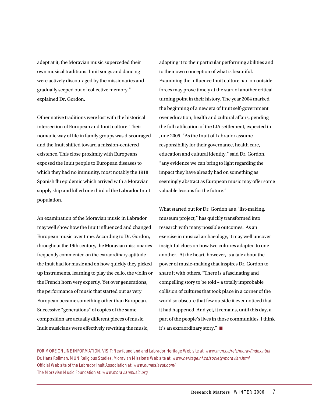adept at it, the Moravian music superceded their own musical traditions. Inuit songs and dancing were actively discouraged by the missionaries and gradually seeped out of collective memory," explained Dr. Gordon.

Other native traditions were lost with the historical intersection of European and Inuit culture. Their nomadic way of life in family groups was discouraged and the Inuit shifted toward a mission-centered existence. This close proximity with Europeans exposed the Inuit people to European diseases to which they had no immunity, most notably the 1918 Spanish flu epidemic which arrived with a Moravian supply ship and killed one third of the Labrador Inuit population.

An examination of the Moravian music in Labrador may well show how the Inuit influenced and changed European music over time. According to Dr. Gordon, throughout the 19th century, the Moravian missionaries frequently commented on the extraordinary aptitude the Inuit had for music and on how quickly they picked up instruments, learning to play the cello, the violin or the French horn very expertly. Yet over generations, the performance of music that started out as very European became something other than European. Successive "generations" of copies of the same composition are actually different pieces of music. Inuit musicians were effectively rewriting the music,

adapting it to their particular performing abilities and to their own conception of what is beautiful. Examining the influence Inuit culture had on outside forces may prove timely at the start of another critical turning point in their history. The year 2004 marked the beginning of a new era of Inuit self-government over education, health and cultural affairs, pending the full ratification of the LIA settlement, expected in June 2005. "As the Inuit of Labrador assume responsibility for their governance, health care, education and cultural identity," said Dr. Gordon, "any evidence we can bring to light regarding the impact they have already had on something as seemingly abstract as European music may offer some valuable lessons for the future."

What started out for Dr. Gordon as a "list-making, museum project," has quickly transformed into research with many possible outcomes. As an exercise in musical archaeology, it may well uncover insightful clues on how two cultures adapted to one another. At the heart, however, is a tale about the power of music-making that inspires Dr. Gordon to share it with others. "There is a fascinating and compelling story to be told – a totally improbable collision of cultures that took place in a corner of the world so obscure that few outside it ever noticed that it had happened. And yet, it remains, until this day, a part of the people's lives in those communities. I think it's an extraordinary story." ■

FOR MORE ONLINE INFORMATION, VISIT: Newfoundland and Labrador Heritage Web site at: www.mun.ca/rels/morav/index.html Dr. Hans Rollman, MUN Religious Studies, Moravian Mission's Web site at: www.heritage.nf.ca/society/moravian.html Official Web site of the Labrador Inuit Association at: www.nunatsiavut.com/ The Moravian Music Foundation at: www.moravianmusic.org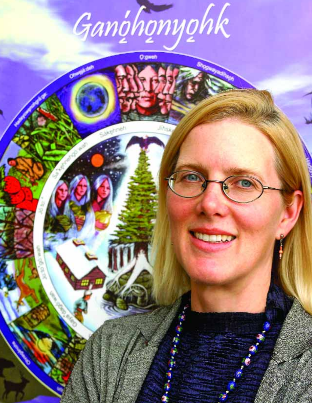

0s

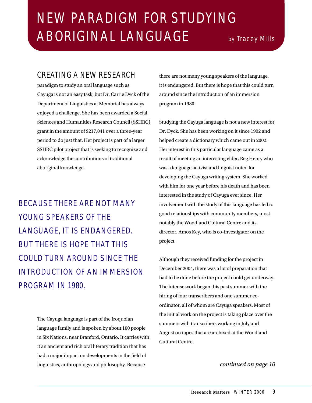## NEW PARADIGM FOR STUDYING ABORIGINAL LANGUAGE

### CREATING A NEW RESEARCH

paradigm to study an oral language such as Cayuga is not an easy task, but Dr. Carrie Dyck of the Department of Linguistics at Memorial has always enjoyed a challenge. She has been awarded a Social Sciences and Humanities Research Council (SSHRC) grant in the amount of \$217,041 over a three-year period to do just that. Her project is part of a larger SSHRC pilot project that is seeking to recognize and acknowledge the contributions of traditional aboriginal knowledge.

BECAUSE THERE ARE NOT MANY YOUNG SPEAKERS OF THE LANGUAGE, IT IS ENDANGERED. BUT THERE IS HOPE THAT THIS COULD TURN AROUND SINCE THE INTRODUCTION OF AN IMMERSION PROGRAM IN 1980.

> The Cayuga language is part of the Iroquoian language family and is spoken by about 100 people in Six Nations, near Branford, Ontario. It carries with it an ancient and rich oral literary tradition that has had a major impact on developments in the field of linguistics, anthropology and philosophy. Because

there are not many young speakers of the language, it is endangered. But there is hope that this could turn around since the introduction of an immersion program in 1980.

Studying the Cayuga language is not a new interest for Dr. Dyck. She has been working on it since 1992 and helped create a dictionary which came out in 2002. Her interest in this particular language came as a result of meeting an interesting elder, Reg Henry who was a language activist and linguist noted for developing the Cayuga writing system. She worked with him for one year before his death and has been interested in the study of Cayuga ever since. Her involvement with the study of this language has led to good relationships with community members, most notably the Woodland Cultural Centre and its director, Amos Key, who is co-investigator on the project.

Although they received funding for the project in December 2004, there was a lot of preparation that had to be done before the project could get underway. The intense work began this past summer with the hiring of four transcribers and one summer coordinator, all of whom are Cayuga speakers. Most of the initial work on the project is taking place over the summers with transcribers working in July and August on tapes that are archived at the Woodland Cultural Centre.

*continued on page 10*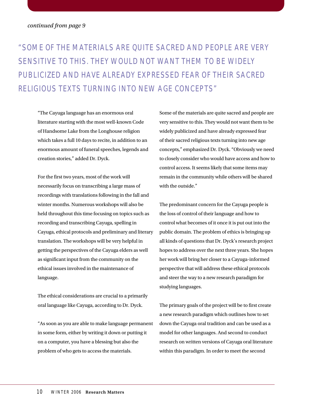#### *continued from page 9*

"SOME OF THE MATERIALS ARE QUITE SACRED AND PEOPLE ARE VERY SENSITIVE TO THIS. THEY WOULD NOT WANT THEM TO BE WIDELY PUBLICIZED AND HAVE ALREADY EXPRESSED FEAR OF THEIR SACRED RELIGIOUS TEXTS TURNING INTO NEW AGE CONCEPTS"

"The Cayuga language has an enormous oral literature starting with the most well-known Code of Handsome Lake from the Longhouse religion which takes a full 10 days to recite, in addition to an enormous amount of funeral speeches, legends and creation stories," added Dr. Dyck.

For the first two years, most of the work will necessarily focus on transcribing a large mass of recordings with translations following in the fall and winter months. Numerous workshops will also be held throughout this time focusing on topics such as recording and transcribing Cayuga, spelling in Cayuga, ethical protocols and preliminary and literary translation. The workshops will be very helpful in getting the perspectives of the Cayuga elders as well as significant input from the community on the ethical issues involved in the maintenance of language.

The ethical considerations are crucial to a primarily oral language like Cayuga, according to Dr. Dyck.

"As soon as you are able to make language permanent in some form, either by writing it down or putting it on a computer, you have a blessing but also the problem of who gets to access the materials.

Some of the materials are quite sacred and people are very sensitive to this. They would not want them to be widely publicized and have already expressed fear of their sacred religious texts turning into new age concepts," emphasized Dr. Dyck. "Obviously we need to closely consider who would have access and how to control access. It seems likely that some items may remain in the community while others will be shared with the outside."

The predominant concern for the Cayuga people is the loss of control of their language and how to control what becomes of it once it is put out into the public domain. The problem of ethics is bringing up all kinds of questions that Dr. Dyck's research project hopes to address over the next three years. She hopes her work will bring her closer to a Cayuga-informed perspective that will address these ethical protocols and steer the way to a new research paradigm for studying languages.

The primary goals of the project will be to first create a new research paradigm which outlines how to set down the Cayuga oral tradition and can be used as a model for other languages. And second to conduct research on written versions of Cayuga oral literature within this paradigm. In order to meet the second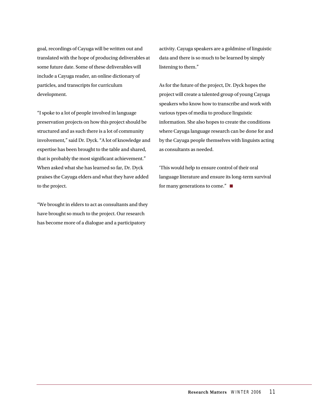goal, recordings of Cayuga will be written out and translated with the hope of producing deliverables at some future date. Some of these deliverables will include a Cayuga reader, an online dictionary of particles, and transcripts for curriculum development.

"I spoke to a lot of people involved in language preservation projects on how this project should be structured and as such there is a lot of community involvement," said Dr. Dyck. "A lot of knowledge and expertise has been brought to the table and shared, that is probably the most significant achievement." When asked what she has learned so far, Dr. Dyck praises the Cayuga elders and what they have added to the project.

"We brought in elders to act as consultants and they have brought so much to the project. Our research has become more of a dialogue and a participatory

activity. Cayuga speakers are a goldmine of linguistic data and there is so much to be learned by simply listening to them."

As for the future of the project, Dr. Dyck hopes the project will create a talented group of young Cayuga speakers who know how to transcribe and work with various types of media to produce linguistic information. She also hopes to create the conditions where Cayuga language research can be done for and by the Cayuga people themselves with linguists acting as consultants as needed.

'This would help to ensure control of their oral language literature and ensure its long-term survival for many generations to come." ■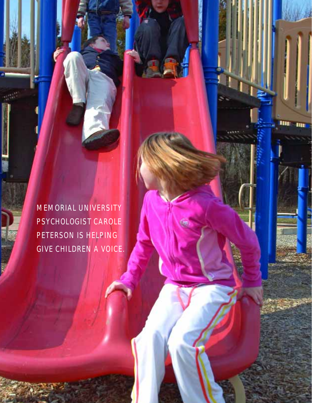MEMORIAL UNIVERSITY PSYCHOLOGIST CAROLE PETERSON IS HELPING GIVE CHILDREN A VOICE. **THE THE**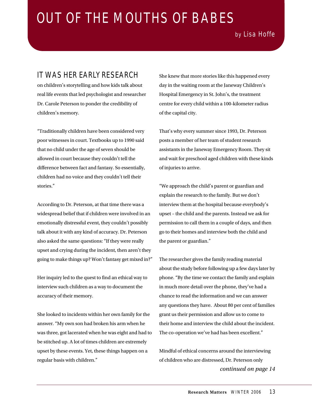## OUT OF THE MOUTHS OF BABES

### IT WAS HER EARLY RESEARCH

on children's storytelling and how kids talk about real life events that led psychologist and researcher Dr. Carole Peterson to ponder the credibility of children's memory.

"Traditionally children have been considered very poor witnesses in court. Textbooks up to 1990 said that no child under the age of seven should be allowed in court because they couldn't tell the difference between fact and fantasy. So essentially, children had no voice and they couldn't tell their stories."

According to Dr. Peterson, at that time there was a widespread belief that if children were involved in an emotionally distressful event, they couldn't possibly talk about it with any kind of accuracy. Dr. Peterson also asked the same questions: "If they were really upset and crying during the incident, then aren't they going to make things up? Won't fantasy get mixed in?"

Her inquiry led to the quest to find an ethical way to interview such children as a way to document the accuracy of their memory.

She looked to incidents within her own family for the answer. "My own son had broken his arm when he was three, got lacerated when he was eight and had to be stitched up. A lot of times children are extremely upset by these events. Yet, these things happen on a regular basis with children."

She knew that more stories like this happened every day in the waiting room at the Janeway Children's Hospital Emergency in St. John's, the treatment centre for every child within a 100-kilometer radius of the capital city.

That's why every summer since 1993, Dr. Peterson posts a member of her team of student research assistants in the Janeway Emergency Room. They sit and wait for preschool aged children with these kinds of injuries to arrive.

"We approach the child's parent or guardian and explain the research to the family. But we don't interview them at the hospital because everybody's upset – the child and the parents. Instead we ask for permission to call them in a couple of days, and then go to their homes and interview both the child and the parent or guardian."

The researcher gives the family reading material about the study before following up a few days later by phone. "By the time we contact the family and explain in much more detail over the phone, they've had a chance to read the information and we can answer any questions they have. About 80 per cent of families grant us their permission and allow us to come to their home and interview the child about the incident. The co-operation we've had has been excellent."

Mindful of ethical concerns around the interviewing of children who are distressed, Dr. Peterson only *continued on page 14*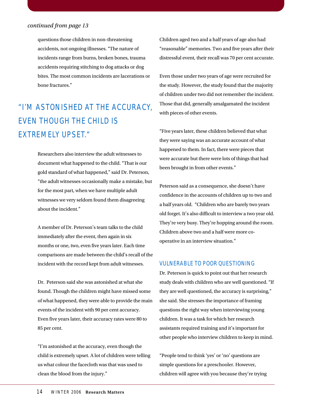#### *continued from page 13*

questions those children in non-threatening accidents, not ongoing illnesses. "The nature of incidents range from burns, broken bones, trauma accidents requiring stitching to dog attacks or dog bites. The most common incidents are lacerations or bone fractures."

### "I'M ASTONISHED AT THE ACCURACY, EVEN THOUGH THE CHILD IS EXTREMELY UPSET."

Researchers also interview the adult witnesses to document what happened to the child. "That is our gold standard of what happened," said Dr. Peterson, "the adult witnesses occasionally make a mistake, but for the most part, when we have multiple adult witnesses we very seldom found them disagreeing about the incident."

A member of Dr. Peterson's team talks to the child immediately after the event, then again in six months or one, two, even five years later. Each time comparisons are made between the child's recall of the incident with the record kept from adult witnesses.

Dr. Peterson said she was astonished at what she found. Though the children might have missed some of what happened, they were able to provide the main events of the incident with 90 per cent accuracy. Even five years later, their accuracy rates were 80 to 85 per cent.

"I'm astonished at the accuracy, even though the child is extremely upset. A lot of children were telling us what colour the facecloth was that was used to clean the blood from the injury."

Children aged two and a half years of age also had "reasonable" memories. Two and five years after their distressful event, their recall was 70 per cent accurate.

Even those under two years of age were recruited for the study. However, the study found that the majority of children under two did not remember the incident. Those that did, generally amalgamated the incident with pieces of other events.

"Five years later, these children believed that what they were saying was an accurate account of what happened to them. In fact, there were pieces that were accurate but there were lots of things that had been brought in from other events."

Peterson said as a consequence, she doesn't have confidence in the accounts of children up to two and a half years old. "Children who are barely two years old forget. It's also difficult to interview a two year old. They're very busy. They're hopping around the room. Children above two and a half were more cooperative in an interview situation."

#### VULNERABLE TO POOR QUESTIONING

Dr. Peterson is quick to point out that her research study deals with children who are well questioned. "If they are well questioned, the accuracy is surprising," she said. She stresses the importance of framing questions the right way when interviewing young children. It was a task for which her research assistants required training and it's important for other people who interview children to keep in mind.

"People tend to think 'yes' or 'no' questions are simple questions for a preschooler. However, children will agree with you because they're trying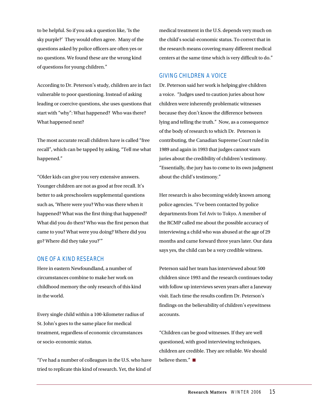to be helpful. So if you ask a question like, 'Is the sky purple?' They would often agree. Many of the questions asked by police officers are often yes or no questions. We found these are the wrong kind of questions for young children."

According to Dr. Peterson's study, children are in fact vulnerable to poor questioning. Instead of asking leading or coercive questions, she uses questions that start with "why": What happened? Who was there? What happened next?

The most accurate recall children have is called "free recall", which can be tapped by asking, "Tell me what happened."

"Older kids can give you very extensive answers. Younger children are not as good at free recall. It's better to ask preschoolers supplemental questions such as, 'Where were you? Who was there when it happened? What was the first thing that happened? What did you do then? Who was the first person that came to you? What were you doing? Where did you go? Where did they take you?'"

#### ONE OF A KIND RESEARCH

Here in eastern Newfoundland, a number of circumstances combine to make her work on childhood memory the only research of this kind in the world.

Every single child within a 100-kilometer radius of St. John's goes to the same place for medical treatment, regardless of economic circumstances or socio-economic status.

"I've had a number of colleagues in the U.S. who have tried to replicate this kind of research. Yet, the kind of

medical treatment in the U.S. depends very much on the child's social-economic status. To correct that in the research means covering many different medical centers at the same time which is very difficult to do."

#### GIVING CHILDREN A VOICE

Dr. Peterson said her work is helping give children a voice. "Judges used to caution juries about how children were inherently problematic witnesses because they don't know the difference between lying and telling the truth." Now, as a consequence of the body of research to which Dr. Peterson is contributing, the Canadian Supreme Court ruled in 1989 and again in 1993 that judges cannot warn juries about the credibility of children's testimony. "Essentially, the jury has to come to its own judgment about the child's testimony."

Her research is also becoming widely known among police agencies. "I've been contacted by police departments from Tel Aviv to Tokyo. A member of the RCMP called me about the possible accuracy of interviewing a child who was abused at the age of 29 months and came forward three years later. Our data says yes, the child can be a very credible witness.

Peterson said her team has interviewed about 500 children since 1993 and the research continues today with follow up interviews seven years after a Janeway visit. Each time the results confirm Dr. Peterson's findings on the believability of children's eyewitness accounts.

"Children can be good witnesses. If they are well questioned, with good interviewing techniques, children are credible. They are reliable. We should believe them." ■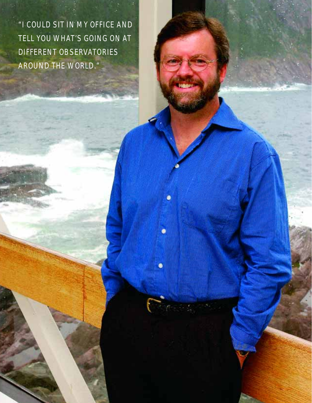"I COULD SIT IN MY OFFICE AND TELL YOU WHAT'S GOING ON AT DIFFERENT OBSERVATORIES AROUND THE WORLD."

c

 $\bullet$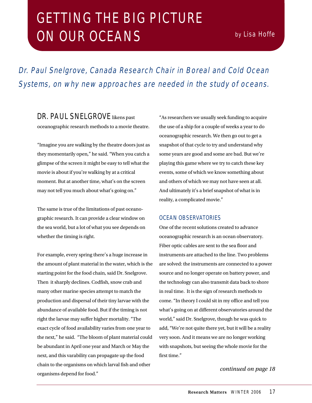## GETTING THE BIG PICTURE ON OUR OCEANS

Dr. Paul Snelgrove, Canada Research Chair in Boreal and Cold Ocean Systems, on why new approaches are needed in the study of oceans.

## DR. PAUL SNELGROVE likens past

oceanographic research methods to a movie theatre.

"Imagine you are walking by the theatre doors just as they momentarily open," he said. "When you catch a glimpse of the screen it might be easy to tell what the movie is about if you're walking by at a critical moment. But at another time, what's on the screen may not tell you much about what's going on."

The same is true of the limitations of past oceanographic research. It can provide a clear window on the sea world, but a lot of what you see depends on whether the timing is right.

For example, every spring there's a huge increase in the amount of plant material in the water, which is the starting point for the food chain, said Dr. Snelgrove. Then it sharply declines. Codfish, snow crab and many other marine species attempt to match the production and dispersal of their tiny larvae with the abundance of available food. But if the timing is not right the larvae may suffer higher mortality. "The exact cycle of food availability varies from one year to the next," he said. "The bloom of plant material could be abundant in April one year and March or May the next, and this varability can propagate up the food chain to the organisms on which larval fish and other organisms depend for food."

"As researchers we usually seek funding to acquire the use of a ship for a couple of weeks a year to do oceanographic research. We then go out to get a snapshot of that cycle to try and understand why some years are good and some are bad. But we're playing this game where we try to catch these key events, some of which we know something about and others of which we may not have seen at all. And ultimately it's a brief snapshot of what is in reality, a complicated movie."

#### OCEAN OBSERVATORIES

One of the recent solutions created to advance oceanographic research is an ocean observatory. Fiber optic cables are sent to the sea floor and instruments are attached to the line. Two problems are solved: the instruments are connected to a power source and no longer operate on battery power, and the technology can also transmit data back to shore in real time. It is the sign of research methods to come. "In theory I could sit in my office and tell you what's going on at different observatories around the world," said Dr. Snelgrove, though he was quick to add, "We're not quite there yet, but it will be a reality very soon. And it means we are no longer working with snapshots, but seeing the whole movie for the first time."

*continued on page 18*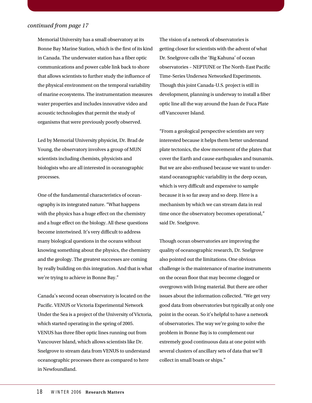#### *continued from page 17*

Memorial University has a small observatory at its Bonne Bay Marine Station, which is the first of its kind in Canada. The underwater station has a fiber optic communications and power cable link back to shore that allows scientists to further study the influence of the physical environment on the temporal variability of marine ecosystems. The instrumentation measures water properties and includes innovative video and acoustic technologies that permit the study of organisms that were previously poorly observed.

Led by Memorial University physicist, Dr. Brad de Young, the observatory involves a group of MUN scientists including chemists, physicists and biologists who are all interested in oceanographic processes.

One of the fundamental characteristics of oceanography is its integrated nature. "What happens with the physics has a huge effect on the chemistry and a huge effect on the biology. All these questions become intertwined. It's very difficult to address many biological questions in the oceans without knowing something about the physics, the chemistry and the geology. The greatest successes are coming by really building on this integration. And that is what we're trying to achieve in Bonne Bay."

Canada's second ocean observatory is located on the Pacific. VENUS or Victoria Experimental Network Under the Sea is a project of the University of Victoria, which started operating in the spring of 2005. VENUS has three fiber optic lines running out from Vancouver Island, which allows scientists like Dr. Snelgrove to stream data from VENUS to understand oceanographic processes there as compared to here in Newfoundland.

The vision of a network of observatories is getting closer for scientists with the advent of what Dr. Snelgrove calls the 'Big Kahuna' of ocean observatories – NEPTUNE or The North-East Pacific Time-Series Undersea Networked Experiments. Though this joint Canada-U.S. project is still in development, planning is underway to install a fiber optic line all the way around the Juan de Fuca Plate off Vancouver Island.

"From a geological perspective scientists are very interested because it helps them better understand plate tectonics, the slow movement of the plates that cover the Earth and cause earthquakes and tsunamis. But we are also enthused because we want to understand oceanographic variability in the deep ocean, which is very difficult and expensive to sample because it is so far away and so deep. Here is a mechanism by which we can stream data in real time once the observatory becomes operational," said Dr. Snelgrove.

Though ocean observatories are improving the quality of oceanographic research, Dr. Snelgrove also pointed out the limitations. One obvious challenge is the maintenance of marine instruments on the ocean floor that may become clogged or overgrown with living material. But there are other issues about the information collected. "We get very good data from observatories but typically at only one point in the ocean. So it's helpful to have a network of observatories. The way we're going to solve the problem in Bonne Bay is to complement our extremely good continuous data at one point with several clusters of ancillary sets of data that we'll collect in small boats or ships."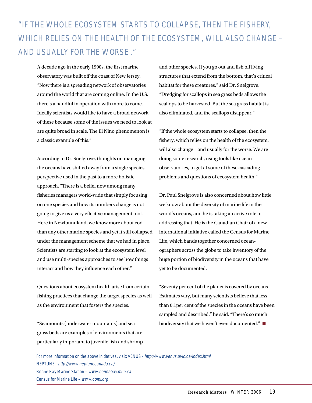### "IF THE WHOLE ECOSYSTEM STARTS TO COLLAPSE, THEN THE FISHERY, WHICH RELIES ON THE HEALTH OF THE ECOSYSTEM, WILL ALSO CHANGE – AND USUALLY FOR THE WORSE ."

A decade ago in the early 1990s, the first marine observatory was built off the coast of New Jersey. "Now there is a spreading network of observatories around the world that are coming online. In the U.S. there's a handful in operation with more to come. Ideally scientists would like to have a broad network of these because some of the issues we need to look at are quite broad in scale. The El Nino phenomenon is a classic example of this."

According to Dr. Snelgrove, thoughts on managing the oceans have shifted away from a single species perspective used in the past to a more holistic approach. "There is a belief now among many fisheries managers world-wide that simply focusing on one species and how its numbers change is not going to give us a very effective management tool. Here in Newfoundland, we know more about cod than any other marine species and yet it still collapsed under the management scheme that we had in place. Scientists are starting to look at the ecosystem level and use multi-species approaches to see how things interact and how they influence each other."

Questions about ecosystem health arise from certain fishing practices that change the target species as well as the environment that fosters the species.

"Seamounts (underwater mountains) and sea grass beds are examples of environments that are particularly important to juvenile fish and shrimp and other species. If you go out and fish off living structures that extend from the bottom, that's critical habitat for these creatures," said Dr. Snelgrove. "Dredging for scallops in sea grass beds allows the scallops to be harvested. But the sea grass habitat is also eliminated, and the scallops disappear."

"If the whole ecosystem starts to collapse, then the fishery, which relies on the health of the ecosystem, will also change – and usually for the worse. We are doing some research, using tools like ocean observatories, to get at some of these cascading problems and questions of ecosystem health."

Dr. Paul Snelgrove is also concerned about how little we know about the diversity of marine life in the world's oceans, and he is taking an active role in addressing that. He is the Canadian Chair of a new international initiative called the Census for Marine Life, which bands together concerned oceanographers across the globe to take inventory of the huge portion of biodiversity in the oceans that have yet to be documented.

"Seventy per cent of the planet is covered by oceans. Estimates vary, but many scientists believe that less than 0.1per cent of the species in the oceans have been sampled and described," he said. "There's so much biodiversity that we haven't even documented." ■

For more information on the above initiatives, visit: VENUS - http://www.venus.uvic.ca/index.html NEPTUNE - http://www.neptunecanada.ca/ Bonne Bay Marine Station – www.bonnebay.mun.ca Census for Marine Life – www.coml.org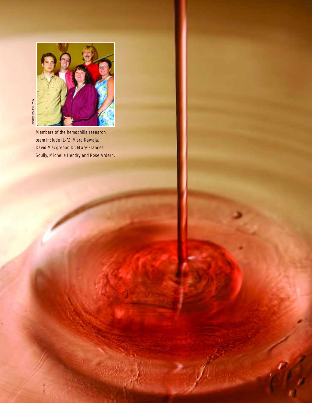

Members of the hemophilia research team include (L-R): Marc Kawaja, David Macgregor, Dr. Mary-Frances Scully, Michelle Hendry and Rose Ardern.

photo by HSIMS photo by HSIMS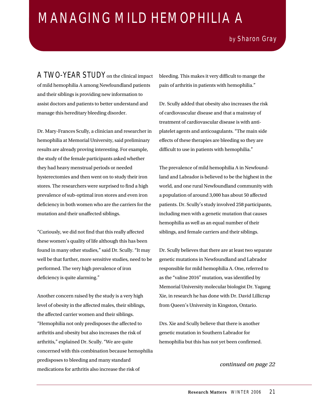## MANAGING MILD HEMOPHILIA A

by Sharon Gray

A TWO-YEAR STUDY on the clinical impact of mild hemophilia A among Newfoundland patients and their siblings is providing new information to assist doctors and patients to better understand and manage this hereditary bleeding disorder.

Dr. Mary-Frances Scully, a clinician and researcher in hemophilia at Memorial University, said preliminary results are already proving interesting. For example, the study of the female participants asked whether they had heavy menstrual periods or needed hysterectomies and then went on to study their iron stores. The researchers were surprised to find a high prevalence of sub-optimal iron stores and even iron deficiency in both women who are the carriers for the mutation and their unaffected siblings.

"Curiously, we did not find that this really affected these women's quality of life although this has been found in many other studies," said Dr. Scully. "It may well be that further, more sensitive studies, need to be performed. The very high prevalence of iron deficiency is quite alarming."

Another concern raised by the study is a very high level of obesity in the affected males, their siblings, the affected carrier women and their siblings. "Hemophilia not only predisposes the affected to arthritis and obesity but also increases the risk of arthritis," explained Dr. Scully. "We are quite concerned with this combination because hemophilia predisposes to bleeding and many standard medications for arthritis also increase the risk of

bleeding. This makes it very difficult to mange the pain of arthritis in patients with hemophilia."

Dr. Scully added that obesity also increases the risk of cardiovascular disease and that a mainstay of treatment of cardiovascular disease is with antiplatelet agents and anticoagulants. "The main side effects of these therapies are bleeding so they are difficult to use in patients with hemophilia."

The prevalence of mild hemophilia A in Newfoundland and Labrador is believed to be the highest in the world, and one rural Newfoundland community with a population of around 3,000 has about 50 affected patients. Dr. Scully's study involved 258 participants, including men with a genetic mutation that causes hemophilia as well as an equal number of their siblings, and female carriers and their siblings.

Dr. Scully believes that there are at least two separate genetic mutations in Newfoundland and Labrador responsible for mild hemophilia A. One, referred to as the "valine 2016" mutation, was identified by Memorial University molecular biologist Dr. Yagang Xie, in research he has done with Dr. David Lillicrap from Queen's University in Kingston, Ontario.

Drs. Xie and Scully believe that there is another genetic mutation in Southern Labrador for hemophilia but this has not yet been confirmed.

*continued on page 22*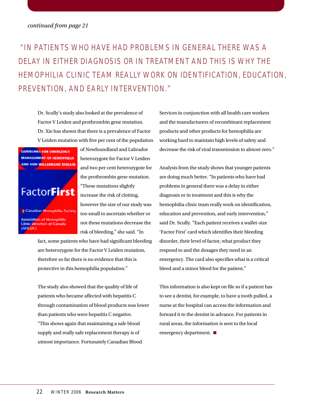"IN PATIENTS WHO HAVE HAD PROBLEMS IN GENERAL THERE WAS A DELAY IN EITHER DIAGNOSIS OR IN TREATMENT AND THIS IS WHY THE HEMOPHILIA CLINIC TEAM REALLY WORK ON IDENTIFICATION, EDUCATION, PREVENTION, AND EARLY INTERVENTION."

Dr. Scully's study also looked at the prevalence of Factor V Leiden and prothrombin gene mutation. Dr. Xie has shown that there is a prevalence of Factor V Leiden mutation with five per cent of the population

**Canadian Hemophilia Society Association of Hemophilia**<br>Clinic Directors of Canada (AHCDC)

**FactorFirst** 

**GUIDELINES FOR EMERGENCY MANAGEMENT OF HEMOPHILIA** AND VON WILLEBRAND DISEASE of Newfoundland and Labrador heterozygote for Factor V Leiden and two per cent heterozygote for the prothrombin gene mutation. "These mutations slightly increase the risk of clotting, however the size of our study was too small to ascertain whether or not these mutations decrease the risk of bleeding," she said. "In

fact, some patients who have had significant bleeding are heterozygote for the Factor V Leiden mutation, therefore so far there is no evidence that this is protective in this hemophilia population."

The study also showed that the quality of life of patients who became affected with hepatitis C through contamination of blood products was lower than patients who were hepatitis C negative. "This shows again that maintaining a safe blood supply and really safe replacement therapy is of utmost importance. Fortunately Canadian Blood

Services in conjunction with all health care workers and the manufacturers of recombinant replacement products and other products for hemophilia are working hard to maintain high levels of safety and decrease the risk of viral transmission to almost zero."

Analysis from the study shows that younger patients are doing much better. "In patients who have had problems in general there was a delay in either diagnosis or in treatment and this is why the hemophilia clinic team really work on identification, education and prevention, and early intervention," said Dr. Scully. "Each patient receives a wallet-size 'Factor First' card which identifies their bleeding disorder, their level of factor, what product they respond to and the dosages they need in an emergency. The card also specifies what is a critical bleed and a minor bleed for the patient."

This information is also kept on file so if a patient has to see a dentist, for example, to have a tooth pulled, a nurse at the hospital can access the information and forward it to the dentist in advance. For patients in rural areas, the information is sent to the local emergency department. ■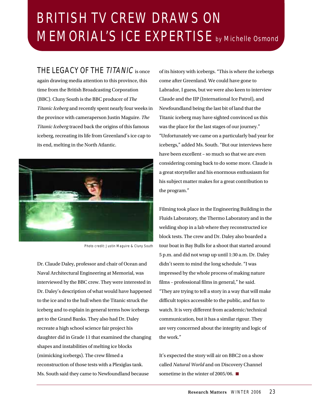# MEMORIAL'S ICE EXPERTISE by Michelle Osmond BRITISH TV CREW DRAWS ON

### THE LEGACY OF THE TITANIC is once

again drawing media attention to this province, this time from the British Broadcasting Corporation (BBC). Cluny South is the BBC producer of *The Titanic Iceberg* and recently spent nearly four weeks in the province with cameraperson Justin Maguire. *The Titanic Iceberg* traced back the origins of this famous iceberg, recreating its life from Greenland's ice cap to its end, melting in the North Atlantic.



Photo credit: Justin Maguire & Cluny South

Dr. Claude Daley, professor and chair of Ocean and Naval Architectural Engineering at Memorial, was interviewed by the BBC crew. They were interested in Dr. Daley's description of what would have happened to the ice and to the hull when the Titanic struck the iceberg and to explain in general terms how icebergs get to the Grand Banks. They also had Dr. Daley recreate a high school science fair project his daughter did in Grade 11 that examined the changing shapes and instabilities of melting ice blocks (mimicking icebergs). The crew filmed a reconstruction of those tests with a Plexiglas tank. Ms. South said they came to Newfoundland because

of its history with icebergs. "This is where the icebergs come after Greenland. We could have gone to Labrador, I guess, but we were also keen to interview Claude and the IIP (International Ice Patrol), and Newfoundland being the last bit of land that the Titanic iceberg may have sighted convinced us this was the place for the last stages of our journey." "Unfortunately we came on a particularly bad year for icebergs," added Ms. South. "But our interviews here have been excellent – so much so that we are even considering coming back to do some more. Claude is a great storyteller and his enormous enthusiasm for his subject matter makes for a great contribution to the program."

Filming took place in the Engineering Building in the Fluids Laboratory, the Thermo Laboratory and in the welding shop in a lab where they reconstructed ice block tests. The crew and Dr. Daley also boarded a tour boat in Bay Bulls for a shoot that started around 5 p.m. and did not wrap up until 1:30 a.m. Dr. Daley didn't seem to mind the long schedule. "I was impressed by the whole process of making nature films – professional films in general," he said. "They are trying to tell a story in a way that will make difficult topics accessible to the public, and fun to watch. It is very different from academic/technical communication, but it has a similar rigour. They are very concerned about the integrity and logic of the work."

It's expected the story will air on BBC2 on a show called *Natural World* and on Discovery Channel sometime in the winter of 2005/06. ■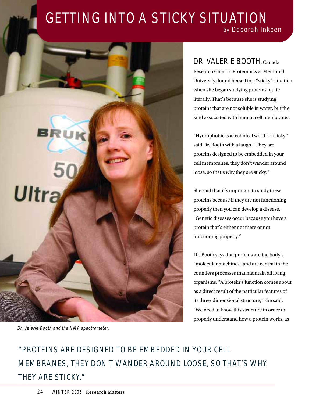### GETTING INTO A STICKY SITUATION by Deborah Inkpen



Dr. Valerie Booth and the NMR spectrometer.

#### DR. VALERIE BOOTH, Canada

Research Chair in Proteomics at Memorial University, found herself in a "sticky" situation when she began studying proteins, quite literally. That's because she is studying proteins that are not soluble in water, but the kind associated with human cell membranes.

"Hydrophobic is a technical word for sticky," said Dr. Booth with a laugh. "They are proteins designed to be embedded in your cell membranes, they don't wander around loose, so that's why they are sticky."

She said that it's important to study these proteins because if they are not functioning properly then you can develop a disease. "Genetic diseases occur because you have a protein that's either not there or not functioning properly."

Dr. Booth says that proteins are the body's "molecular machines" and are central in the countless processes that maintain all living organisms. "A protein's function comes about as a direct result of the particular features of its three-dimensional structure," she said. "We need to know this structure in order to properly understand how a protein works, as

"PROTEINS ARE DESIGNED TO BE EMBEDDED IN YOUR CELL MEMBRANES, THEY DON'T WANDER AROUND LOOSE, SO THAT'S WHY THEY ARE STICKY."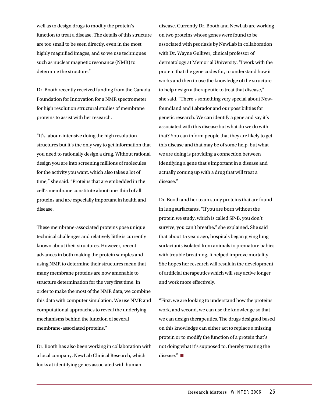well as to design drugs to modify the protein's function to treat a disease. The details of this structure are too small to be seen directly, even in the most highly magnified images, and so we use techniques such as nuclear magnetic resonance (NMR) to determine the structure."

Dr. Booth recently received funding from the Canada Foundation for Innovation for a NMR spectrometer for high resolution structural studies of membrane proteins to assist with her research.

"It's labour-intensive doing the high resolution structures but it's the only way to get information that you need to rationally design a drug. Without rational design you are into screening millions of molecules for the activity you want, which also takes a lot of time," she said. "Proteins that are embedded in the cell's membrane constitute about one-third of all proteins and are especially important in health and disease.

These membrane-associated proteins pose unique technical challenges and relatively little is currently known about their structures. However, recent advances in both making the protein samples and using NMR to determine their structures mean that many membrane proteins are now amenable to structure determination for the very first time. In order to make the most of the NMR data, we combine this data with computer simulation. We use NMR and computational approaches to reveal the underlying mechanisms behind the function of several membrane-associated proteins."

Dr. Booth has also been working in collaboration with a local company, NewLab Clinical Research, which looks at identifying genes associated with human

disease. Currently Dr. Booth and NewLab are working on two proteins whose genes were found to be associated with psoriasis by NewLab in collaboration with Dr. Wayne Gulliver, clinical professor of dermatology at Memorial University. "I work with the protein that the gene codes for, to understand how it works and then to use the knowledge of the structure to help design a therapeutic to treat that disease," she said. "There's something very special about Newfoundland and Labrador and our possibilities for genetic research. We can identify a gene and say it's associated with this disease but what do we do with that? You can inform people that they are likely to get this disease and that may be of some help, but what we are doing is providing a connection between identifying a gene that's important in a disease and actually coming up with a drug that will treat a disease."

Dr. Booth and her team study proteins that are found in lung surfactants. "If you are born without the protein we study, which is called SP-B, you don't survive, you can't breathe," she explained. She said that about 15 years ago, hospitals began giving lung surfactants isolated from animals to premature babies with trouble breathing. It helped improve mortality. She hopes her research will result in the development of artificial therapeutics which will stay active longer and work more effectively.

"First, we are looking to understand how the proteins work, and second, we can use the knowledge so that we can design therapeutics. The drugs designed based on this knowledge can either act to replace a missing protein or to modify the function of a protein that's not doing what it's supposed to, thereby treating the disease." ■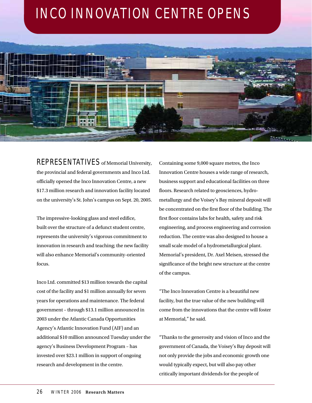## INCO INNOVATION CENTRE OPENS



REPRESENTATIVES of Memorial University, the provincial and federal governments and Inco Ltd. officially opened the Inco Innovation Centre, a new \$17.3 million research and innovation facility located on the university's St. John's campus on Sept. 20, 2005.

The impressive-looking glass and steel edifice, built over the structure of a defunct student centre, represents the university's vigorous commitment to innovation in research and teaching; the new facility will also enhance Memorial's community-oriented focus.

Inco Ltd. committed \$13 million towards the capital cost of the facility and \$1 million annually for seven years for operations and maintenance. The federal government – through \$13.1 million announced in 2003 under the Atlantic Canada Opportunities Agency's Atlantic Innovation Fund (AIF) and an additional \$10 million announced Tuesday under the agency's Business Development Program – has invested over \$23.1 million in support of ongoing research and development in the centre.

Containing some 9,000 square metres, the Inco Innovation Centre houses a wide range of research, business support and educational facilities on three floors. Research related to geosciences, hydrometallurgy and the Voisey's Bay mineral deposit will be concentrated on the first floor of the building. The first floor contains labs for health, safety and risk engineering, and process engineering and corrosion reduction. The centre was also designed to house a small scale model of a hydrometallurgical plant. Memorial's president, Dr. Axel Meisen, stressed the significance of the bright new structure at the centre of the campus.

"The Inco Innovation Centre is a beautiful new facility, but the true value of the new building will come from the innovations that the centre will foster at Memorial," he said.

"Thanks to the generosity and vision of Inco and the government of Canada, the Voisey's Bay deposit will not only provide the jobs and economic growth one would typically expect, but will also pay other critically important dividends for the people of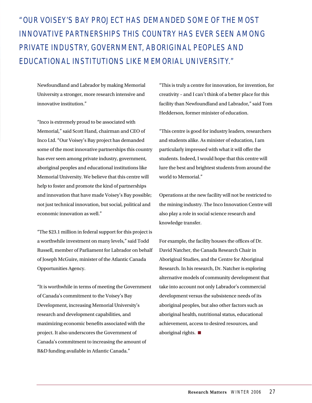"OUR VOISEY'S BAY PROJECT HAS DEMANDED SOME OF THE MOST INNOVATIVE PARTNERSHIPS THIS COUNTRY HAS EVER SEEN AMONG PRIVATE INDUSTRY, GOVERNMENT, ABORIGINAL PEOPLES AND EDUCATIONAL INSTITUTIONS LIKE MEMORIAL UNIVERSITY."

Newfoundland and Labrador by making Memorial University a stronger, more research intensive and innovative institution."

"Inco is extremely proud to be associated with Memorial," said Scott Hand, chairman and CEO of Inco Ltd. "Our Voisey's Bay project has demanded some of the most innovative partnerships this country has ever seen among private industry, government, aboriginal peoples and educational institutions like Memorial University. We believe that this centre will help to foster and promote the kind of partnerships and innovation that have made Voisey's Bay possible; not just technical innovation, but social, political and economic innovation as well."

"The \$23.1 million in federal support for this project is a worthwhile investment on many levels," said Todd Russell, member of Parliament for Labrador on behalf of Joseph McGuire, minister of the Atlantic Canada Opportunities Agency.

"It is worthwhile in terms of meeting the Government of Canada's commitment to the Voisey's Bay Development, increasing Memorial University's research and development capabilities, and maximizing economic benefits associated with the project. It also underscores the Government of Canada's commitment to increasing the amount of R&D funding available in Atlantic Canada."

"This is truly a centre for innovation, for invention, for creativity – and I can't think of a better place for this facility than Newfoundland and Labrador," said Tom Hedderson, former minister of education.

"This centre is good for industry leaders, researchers and students alike. As minister of education, I am particularly impressed with what it will offer the students. Indeed, I would hope that this centre will lure the best and brightest students from around the world to Memorial."

Operations at the new facility will not be restricted to the mining industry. The Inco Innovation Centre will also play a role in social science research and knowledge transfer.

For example, the facility houses the offices of Dr. David Natcher, the Canada Research Chair in Aboriginal Studies, and the Centre for Aboriginal Research. In his research, Dr. Natcher is exploring alternative models of community development that take into account not only Labrador's commercial development versus the subsistence needs of its aboriginal peoples, but also other factors such as aboriginal health, nutritional status, educational achievement, access to desired resources, and aboriginal rights. ■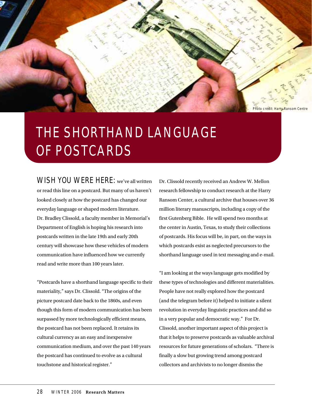

## THE SHORTHAND LANGUAGE OF POSTCARDS

WISH YOU WERE HERE: we've all written or read this line on a postcard. But many of us haven't looked closely at how the postcard has changed our everyday language or shaped modern literature. Dr. Bradley Clissold, a faculty member in Memorial's Department of English is hoping his research into postcards written in the late 19th and early 20th century will showcase how these vehicles of modern communication have influenced how we currently read and write more than 100 years later.

"Postcards have a shorthand language specific to their materiality," says Dr. Clissold. "The origins of the picture postcard date back to the 1860s, and even though this form of modern communication has been surpassed by more technologically efficient means, the postcard has not been replaced. It retains its cultural currency as an easy and inexpensive communication medium, and over the past 140 years the postcard has continued to evolve as a cultural touchstone and historical register."

Dr. Clissold recently received an Andrew W. Mellon research fellowship to conduct research at the Harry Ransom Center, a cultural archive that houses over 36 million literary manuscripts, including a copy of the first Gutenberg Bible. He will spend two months at the center in Austin, Texas, to study their collections of postcards. His focus will be, in part, on the ways in which postcards exist as neglected precursors to the shorthand language used in text messaging and e-mail.

"I am looking at the ways language gets modified by these types of technologies and different materialities. People have not really explored how the postcard (and the telegram before it) helped to initiate a silent revolution in everyday linguistic practices and did so in a very popular and democratic way." For Dr. Clissold, another important aspect of this project is that it helps to preserve postcards as valuable archival resources for future generations of scholars. "There is finally a slow but growing trend among postcard collectors and archivists to no longer dismiss the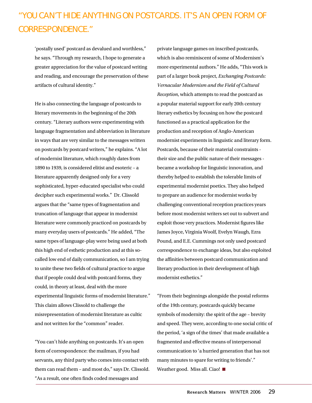### "YOU CAN'T HIDE ANYTHING ON POSTCARDS. IT'S AN OPEN FORM OF CORRESPONDENCE."

'postally used' postcard as devalued and worthless," he says. "Through my research, I hope to generate a greater appreciation for the value of postcard writing and reading, and encourage the preservation of these artifacts of cultural identity."

He is also connecting the language of postcards to literary movements in the beginning of the 20th century. "Literary authors were experimenting with language fragmentation and abbreviation in literature in ways that are very similar to the messages written on postcards by postcard writers," he explains. "A lot of modernist literature, which roughly dates from 1890 to 1939, is considered elitist and esoteric – a literature apparently designed only for a very sophisticated, hyper-educated specialist who could decipher such experimental works." Dr. Clissold argues that the "same types of fragmentation and truncation of language that appear in modernist literature were commonly practiced on postcards by many everyday users of postcards." He added, "The same types of language-play were being used at both this high end of esthetic production and at this socalled low end of daily communication, so I am trying to unite these two fields of cultural practice to argue that if people could deal with postcard forms, they could, in theory at least, deal with the more experimental linguistic forms of modernist literature." This claim allows Clissold to challenge the misrepresentation of modernist literature as cultic and not written for the "common" reader.

"You can't hide anything on postcards. It's an open form of correspondence: the mailman, if you had servants, any third party who comes into contact with them can read them – and most do," says Dr. Clissold. "As a result, one often finds coded messages and

private language games on inscribed postcards, which is also reminiscent of some of Modernism's more experimental authors." He adds, "This work is part of a larger book project, *Exchanging Postcards: Vernacular Modernism and the Field of Cultural Reception*, which attempts to read the postcard as a popular material support for early 20th century literary esthetics by focusing on how the postcard functioned as a practical application for the production and reception of Anglo-American modernist experiments in linguistic and literary form. Postcards, because of their material constraints their size and the public nature of their messages became a workshop for linguistic innovation, and thereby helped to establish the tolerable limits of experimental modernist poetics. They also helped to prepare an audience for modernist works by challenging conventional reception practices years before most modernist writers set out to subvert and exploit those very practices. Modernist figures like James Joyce, Virginia Woolf, Evelyn Waugh, Ezra Pound, and E.E. Cummings not only used postcard correspondence to exchange ideas, but also exploited the affinities between postcard communication and literary production in their development of high modernist esthetics."

"From their beginnings alongside the postal reforms of the 19th century, postcards quickly became symbols of modernity: the spirit of the age – brevity and speed. They were, according to one social critic of the period, 'a sign of the times' that made available a fragmented and effective means of interpersonal communication to 'a hurried generation that has not many minutes to spare for writing to friends'." Weather good. Miss all. Ciao! ■